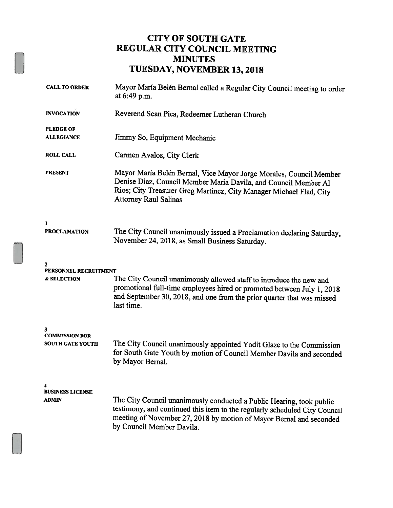#### CITY OF SOUTH GATE REGULAR CITY COUNCIL MEETING MINUTES TUESDAY, NOVEMBER 13, 2018

| <b>CALL TO ORDER</b>                                  | Mayor María Belén Bernal called a Regular City Council meeting to order<br>at 6:49 p.m.                                                                                                                                                                |  |  |
|-------------------------------------------------------|--------------------------------------------------------------------------------------------------------------------------------------------------------------------------------------------------------------------------------------------------------|--|--|
| <b>INVOCATION</b>                                     | Reverend Sean Pica, Redeemer Lutheran Church                                                                                                                                                                                                           |  |  |
| <b>PLEDGE OF</b><br><b>ALLEGIANCE</b>                 | Jimmy So, Equipment Mechanic                                                                                                                                                                                                                           |  |  |
| <b>ROLL CALL</b>                                      | Carmen Avalos, City Clerk                                                                                                                                                                                                                              |  |  |
| <b>PRESENT</b>                                        | Mayor María Belén Bernal, Vice Mayor Jorge Morales, Council Member<br>Denise Diaz, Council Member Maria Davila, and Council Member Al<br>Rios; City Treasurer Greg Martinez, City Manager Michael Flad, City<br><b>Attorney Raul Salinas</b>           |  |  |
| 1<br><b>PROCLAMATION</b>                              | The City Council unanimously issued a Proclamation declaring Saturday,<br>November 24, 2018, as Small Business Saturday.                                                                                                                               |  |  |
| 2<br>PERSONNEL RECRUITMENT<br>& SELECTION             | The City Council unanimously allowed staff to introduce the new and<br>promotional full-time employees hired or promoted between July 1, 2018<br>and September 30, 2018, and one from the prior quarter that was missed<br>last time.                  |  |  |
| 3<br><b>COMMISSION FOR</b><br><b>SOUTH GATE YOUTH</b> | The City Council unanimously appointed Yodit Glaze to the Commission<br>for South Gate Youth by motion of Council Member Davila and seconded<br>by Mayor Bernal.                                                                                       |  |  |
| <b>BUSINESS LICENSE</b><br>ADMIN                      | The City Council unanimously conducted a Public Hearing, took public<br>testimony, and continued this item to the regularly scheduled City Council<br>meeting of November 27, 2018 by motion of Mayor Bernal and seconded<br>by Council Member Davila. |  |  |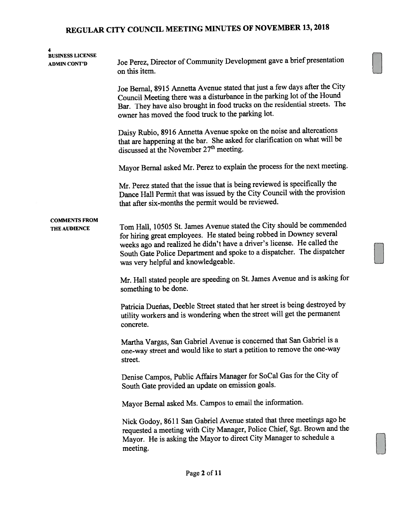| 4                                              |                                                                                                                                                                                                                                                                                                                                          |  |  |  |  |
|------------------------------------------------|------------------------------------------------------------------------------------------------------------------------------------------------------------------------------------------------------------------------------------------------------------------------------------------------------------------------------------------|--|--|--|--|
| <b>BUSINESS LICENSE</b><br><b>ADMIN CONT'D</b> | Joe Perez, Director of Community Development gave a brief presentation<br>on this item.                                                                                                                                                                                                                                                  |  |  |  |  |
|                                                | Joe Bernal, 8915 Annetta Avenue stated that just a few days after the City<br>Council Meeting there was a disturbance in the parking lot of the Hound<br>Bar. They have also brought in food trucks on the residential streets. The<br>owner has moved the food truck to the parking lot.                                                |  |  |  |  |
|                                                | Daisy Rubio, 8916 Annetta Avenue spoke on the noise and altercations<br>that are happening at the bar. She asked for clarification on what will be<br>discussed at the November 27 <sup>th</sup> meeting.                                                                                                                                |  |  |  |  |
|                                                | Mayor Bernal asked Mr. Perez to explain the process for the next meeting.                                                                                                                                                                                                                                                                |  |  |  |  |
|                                                | Mr. Perez stated that the issue that is being reviewed is specifically the<br>Dance Hall Permit that was issued by the City Council with the provision<br>that after six-months the permit would be reviewed.                                                                                                                            |  |  |  |  |
| <b>COMMENTS FROM</b><br>THE AUDIENCE           | Tom Hall, 10505 St. James Avenue stated the City should be commended<br>for hiring great employees. He stated being robbed in Downey several<br>weeks ago and realized he didn't have a driver's license. He called the<br>South Gate Police Department and spoke to a dispatcher. The dispatcher<br>was very helpful and knowledgeable. |  |  |  |  |
|                                                | Mr. Hall stated people are speeding on St. James Avenue and is asking for<br>something to be done.                                                                                                                                                                                                                                       |  |  |  |  |
|                                                | Patricia Duenas, Deeble Street stated that her street is being destroyed by<br>utility workers and is wondering when the street will get the permanent<br>concrete.                                                                                                                                                                      |  |  |  |  |
|                                                | Martha Vargas, San Gabriel Avenue is concerned that San Gabriel is a<br>one-way street and would like to start a petition to remove the one-way<br>street.                                                                                                                                                                               |  |  |  |  |
|                                                | Denise Campos, Public Affairs Manager for SoCal Gas for the City of<br>South Gate provided an update on emission goals.                                                                                                                                                                                                                  |  |  |  |  |
|                                                | Mayor Bernal asked Ms. Campos to email the information.                                                                                                                                                                                                                                                                                  |  |  |  |  |
|                                                | Nick Godoy, 8611 San Gabriel Avenue stated that three meetings ago he<br>requested a meeting with City Manager, Police Chief, Sgt. Brown and the<br>Mayor. He is asking the Mayor to direct City Manager to schedule a<br>meeting.                                                                                                       |  |  |  |  |
|                                                |                                                                                                                                                                                                                                                                                                                                          |  |  |  |  |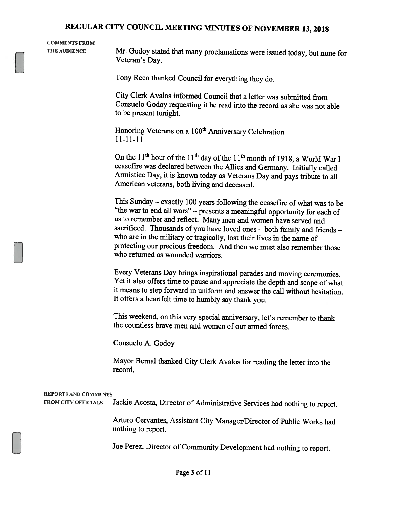# COMMENTS FROM

THE AUDIENCE Mr. Godoy stated that many proclamations were issued today, but none for Veteran's Day.

Tony Reco thanked Council for everything they do.

City Clerk Avalos informed Council that <sup>a</sup> letter was submitted from Consuelo Godoy requesting it be read into the record as she was not able to be present tonight.

Honoring Veterans on a 100<sup>th</sup> Anniversary Celebration 11—11—11

On the  $11<sup>th</sup>$  hour of the  $11<sup>th</sup>$  day of the  $11<sup>th</sup>$  month of 1918, a World War I ceasefire was declared between the Allies and Germany. Initially called Armistice Day, it is known today as Veterans Day and pays tribute to all American veterans, both living and deceased.

This Sunday — exactly <sup>100</sup> years following the ceasefire of what was to be "the war to end all wars" — presents <sup>a</sup> meaningful opportunity for each of us to remember and reflect. Many men and women have served and sacrificed. Thousands of you have loved ones — both family and friends who are in the military or tragically, lost their lives in the name of protecting our precious freedom. And then we must also remember those who returned as wounded warriors.

Every Veterans Day brings inspirational parades and moving ceremonies. Yet it also offers time to pause and appreciate the depth and scope of what it means to step forward in uniform and answer the call without hesitation. It offers <sup>a</sup> heartfelt time to humbly say thank you.

This weekend, on this very special anniversary, let's remember to thank the countless brave men and women of our armed forces.

Consuelo A. Godoy

Mayor Bernal thanked City Clerk Avalos for reading the letter into the record.

| <b>REPORTS AND COMMENTS</b><br><b>FROM CITY OFFICIALS</b> | Jackie Acosta, Director of Administrative Services had nothing to report.                   |
|-----------------------------------------------------------|---------------------------------------------------------------------------------------------|
|                                                           | Arturo Cervantes, Assistant City Manager/Director of Public Works had<br>nothing to report. |
|                                                           | Joe Perez, Director of Community Development had nothing to report.                         |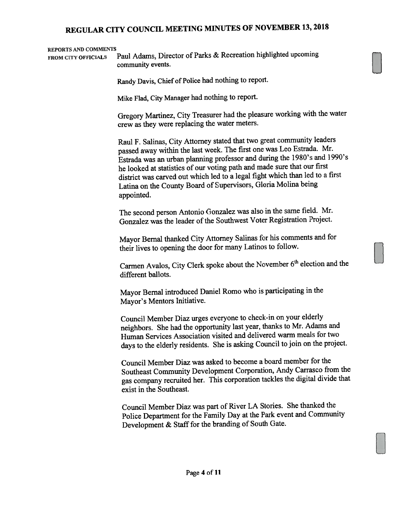#### REPORTS AND COMMENTS

FROM CITY OFFICIALS Paul Adams, Director of Parks & Recreation highlighted upcoming community events.

Randy Davis, Chief of Police had nothing to report.

Mike Flad, City Manager had nothing to report.

Gregory Martinez, City Treasurer had the <sup>p</sup>leasure working with the water crew as they were replacing the water meters.

Raul F. Salinas, City Attorney stated that two grea<sup>t</sup> community leaders passe<sup>d</sup> away within the last week. The first one was Leo Estrada. Mr. Estrada was an urban <sup>p</sup>lanning professor and during the 1980's and 1990's he looked at statistics of our voting path and made sure that our first district was carved out which led to <sup>a</sup> legal fight which than led to <sup>a</sup> first Latina on the County Board of Supervisors, Gloria Molina being appointed.

The second person Antonio Gonzalez was also in the same field. Mr. Gonzalez was the leader of the Southwest Voter Registration Project.

Mayor Bernal thanked City Attorney Salinas for his comments and for their lives to opening the door for many Latinos to follow.

Carmen Avalos, City Clerk spoke about the November 6<sup>th</sup> election and the different ballots.

Mayor Bemal introduced Daniel Romo who is participating in the Mayor's Mentors Initiative.

Council Member Diaz urges everyone to check-in on your elderly neighbors. She had the opportunity last year, thanks to Mr. Adams and Human Services Association visited and delivered warm meals for two days to the elderly residents. She is asking Council to join on the project.

Council Member Diaz was asked to become <sup>a</sup> board member for the Southeast Community Development Corporation, Andy Carrasco from the gas company recruited her. This corporation tackles the digital divide that exist in the Southeast.

Council Member Diaz was par<sup>t</sup> of River LA Stories. She thanked the Police Department for the Family Day at the Park event and Community Development & Staff for the branding of South Gate.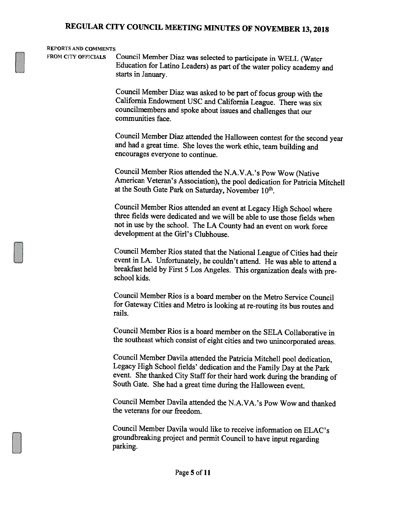#### REPORTS AND COMMENTS

FROM CITY OFFICIALS Council Member Diaz was selected to participate in WELL (Water Education for Latino Leaders) as part of the water policy academy and starts in January.

> Council Member Diaz was asked to be part of focus group with the California Endowment USC and California League. There was six councilmembers and spoke about issues and challenges that our communities face.

Council Member Diaz attended the Halloween contest for the second year and had <sup>a</sup> great time. She loves the work ethic, team building and encourages everyone to continue.

Council Member Rios attended the N.A.V.A.'s Pow Wow (Native American Veteran's Association), the poo<sup>l</sup> dedication for Patricia Mitchell at the South Gate Park on Saturday, November 10<sup>th</sup>.

Council Member Rios attended an event at Legacy High School where three fields were dedicated and we will be able to use those fields when not in use by the school. The LA County had an event on work force development at the Girl's Clubhouse.

Council Member Rios stated that the National League of Cities had their event in LA. Unfortunately, he couldn't attend. He was able to attend <sup>a</sup> breakfast held by First <sup>5</sup> Los Angeles. This organization deals with pre school kids.

Council Member Rios is <sup>a</sup> board member on the Metro Service Council for Gateway Cities and Metro is looking at re-routing its bus routes and rails.

Council Member Rios is <sup>a</sup> board member on the SELA Collaborative in the southeast which consist of eight cities and two unincorporated areas.

Council Member Davila attended the Patricia Mitchell poo<sup>i</sup> dedication, Legacy High School fields' dedication and the Family Day at the Park event. She thanked City Staff for their hard work during the branding of South Gate. She had <sup>a</sup> great time during the Halloween event.

Council Member Davila attended the N.A.VA.'s Pow Wow and thanked the veterans for our freedom.

Council Member Davila would like to receive information on ELAC's groundbreaking project and permit Council to have input regarding parking.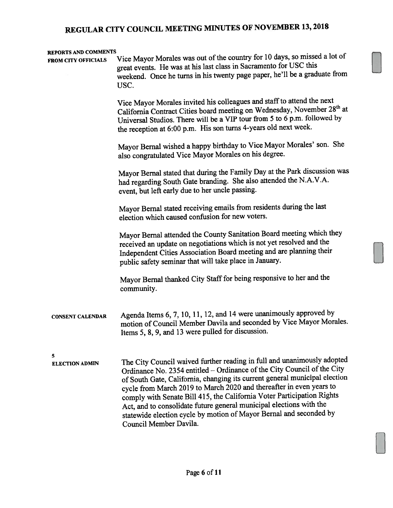#### REPORTS AND COMMENTS

FROM CITY OFFICIALS Vice Mayor Morales was out of the country for 10 days, so missed a lot of grea<sup>t</sup> events. He was at his last class in Sacramento for USC this weekend. Once he turns in his twenty page paper, he'll be <sup>a</sup> graduate from USC. Vice Mayor Morales invited his colleagues and staff to attend the next California Contract Cities board meeting on Wednesday, November 28<sup>th</sup> at Universal Studios. There will be <sup>a</sup> VIP tour from <sup>5</sup> to <sup>6</sup> p.m. followed by the reception at 6:00 p.m. His son turns 4-years old next week. Mayor Bernal wished <sup>a</sup> happy birthday to Vice Mayor Morales' son. She also congratulated Vice Mayor Morales on his degree. Mayor Bernal stated that during the Family Day at the Park discussion was had regarding South Gate branding. She also attended the N.A.V.A. event, but left early due to her uncle passing. Mayor Bernal stated receiving emails from residents during the last election which caused confusion for new voters. Mayor Bemal attended the County Sanitation Board meeting which they received an update on negotiations which is not ye<sup>t</sup> resolved and the Independent Cities Association Board meeting and are <sup>p</sup>lanning their public safety seminar that will take <sup>p</sup>lace in January. Mayor Bernal thanked City Staff for being responsive to her and the community. CONSENT CALENDAR Agenda Items 6, 7, 10, 11, 12, and <sup>14</sup> were unanimously approve<sup>d</sup> by motion of Council Member Davila and seconded by Vice Mayor Morales. Items 5, 8, 9, and <sup>13</sup> were pulled for discussion. 5 ELECTION ADMIN The City Council waived further reading in full and unanimously adopted Ordinance No. 2354 entitled – Ordinance of the City Council of the City of South Gate, California, changing its current genera<sup>l</sup> municipal election cycle from March <sup>2019</sup> to March <sup>2020</sup> and thereafter in even years to comply with Senate Bill 415, the California Voter Participation Rights Act, and to consolidate future genera<sup>l</sup> municipal elections with the statewide election cycle by motion of Mayor Bernal and seconded by Council Member Davila.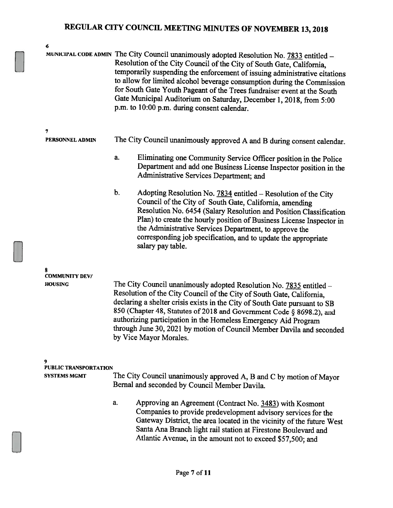| 6                                       |                                                                                                                                                                                                                                                                                                                                                                                                                                                                                                                            |  |  |  |
|-----------------------------------------|----------------------------------------------------------------------------------------------------------------------------------------------------------------------------------------------------------------------------------------------------------------------------------------------------------------------------------------------------------------------------------------------------------------------------------------------------------------------------------------------------------------------------|--|--|--|
|                                         | MUNICIPAL CODE ADMIN The City Council unanimously adopted Resolution No. 7833 entitled -<br>Resolution of the City Council of the City of South Gate, California,<br>temporarily suspending the enforcement of issuing administrative citations<br>to allow for limited alcohol beverage consumption during the Commission<br>for South Gate Youth Pageant of the Trees fundraiser event at the South<br>Gate Municipal Auditorium on Saturday, December 1, 2018, from 5:00<br>p.m. to 10:00 p.m. during consent calendar. |  |  |  |
| 7                                       |                                                                                                                                                                                                                                                                                                                                                                                                                                                                                                                            |  |  |  |
| PERSONNEL ADMIN                         | The City Council unanimously approved A and B during consent calendar.                                                                                                                                                                                                                                                                                                                                                                                                                                                     |  |  |  |
|                                         | a.<br>Eliminating one Community Service Officer position in the Police<br>Department and add one Business License Inspector position in the<br>Administrative Services Department; and                                                                                                                                                                                                                                                                                                                                     |  |  |  |
|                                         | b.<br>Adopting Resolution No. 7834 entitled - Resolution of the City<br>Council of the City of South Gate, California, amending<br>Resolution No. 6454 (Salary Resolution and Position Classification<br>Plan) to create the hourly position of Business License Inspector in<br>the Administrative Services Department, to approve the<br>corresponding job specification, and to update the appropriate<br>salary pay table.                                                                                             |  |  |  |
| 8                                       |                                                                                                                                                                                                                                                                                                                                                                                                                                                                                                                            |  |  |  |
| <b>COMMUNITY DEV/</b><br><b>HOUSING</b> | The City Council unanimously adopted Resolution No. 7835 entitled -<br>Resolution of the City Council of the City of South Gate, California,<br>declaring a shelter crisis exists in the City of South Gate pursuant to SB<br>850 (Chapter 48, Statutes of 2018 and Government Code § 8698.2), and<br>authorizing participation in the Homeless Emergency Aid Program<br>through June 30, 2021 by motion of Council Member Davila and seconded<br>by Vice Mayor Morales.                                                   |  |  |  |
| 9                                       |                                                                                                                                                                                                                                                                                                                                                                                                                                                                                                                            |  |  |  |
| PUBLIC TRANSPORTATION                   |                                                                                                                                                                                                                                                                                                                                                                                                                                                                                                                            |  |  |  |
| <b>SYSTEMS MGMT</b>                     | The City Council unanimously approved A, B and C by motion of Mayor<br>Bernal and seconded by Council Member Davila.                                                                                                                                                                                                                                                                                                                                                                                                       |  |  |  |
|                                         | Approving an Agreement (Contract No. 3483) with Kosmont<br>a.<br>Companies to provide predevelopment advisory services for the<br>Gateway District, the area located in the vicinity of the future West<br>Santa Ana Branch light rail station at Firestone Boulevard and<br>Atlantic Avenue, in the amount not to exceed \$57,500; and                                                                                                                                                                                    |  |  |  |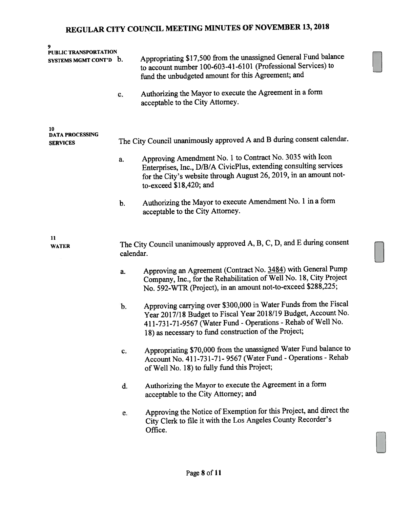| 9<br>PUBLIC TRANSPORTATION   |           |                                                                                                                                                                                                                                                             |  |  |  |
|------------------------------|-----------|-------------------------------------------------------------------------------------------------------------------------------------------------------------------------------------------------------------------------------------------------------------|--|--|--|
| SYSTEMS MGMT CONT'D b.       |           | Appropriating \$17,500 from the unassigned General Fund balance<br>to account number 100-603-41-6101 (Professional Services) to<br>fund the unbudgeted amount for this Agreement; and                                                                       |  |  |  |
|                              | c.        | Authorizing the Mayor to execute the Agreement in a form<br>acceptable to the City Attorney.                                                                                                                                                                |  |  |  |
| 10<br><b>DATA PROCESSING</b> |           |                                                                                                                                                                                                                                                             |  |  |  |
| <b>SERVICES</b>              |           | The City Council unanimously approved A and B during consent calendar.                                                                                                                                                                                      |  |  |  |
|                              | a.        | Approving Amendment No. 1 to Contract No. 3035 with Icon<br>Enterprises, Inc., D/B/A CivicPlus, extending consulting services<br>for the City's website through August 26, 2019, in an amount not-<br>to-exceed \$18,420; and                               |  |  |  |
|                              | b.        | Authorizing the Mayor to execute Amendment No. 1 in a form<br>acceptable to the City Attorney.                                                                                                                                                              |  |  |  |
| 11<br><b>WATER</b>           |           | The City Council unanimously approved A, B, C, D, and E during consent                                                                                                                                                                                      |  |  |  |
|                              | calendar. |                                                                                                                                                                                                                                                             |  |  |  |
|                              | a.        | Approving an Agreement (Contract No. 3484) with General Pump<br>Company, Inc., for the Rehabilitation of Well No. 18, City Project<br>No. 592-WTR (Project), in an amount not-to-exceed \$288,225;                                                          |  |  |  |
|                              | b.        | Approving carrying over \$300,000 in Water Funds from the Fiscal<br>Year 2017/18 Budget to Fiscal Year 2018/19 Budget, Account No.<br>411-731-71-9567 (Water Fund - Operations - Rehab of Well No.<br>18) as necessary to fund construction of the Project; |  |  |  |
|                              | c.        | Appropriating \$70,000 from the unassigned Water Fund balance to<br>Account No. 411-731-71-9567 (Water Fund - Operations - Rehab<br>of Well No. 18) to fully fund this Project;                                                                             |  |  |  |
|                              | d.        | Authorizing the Mayor to execute the Agreement in a form<br>acceptable to the City Attorney; and                                                                                                                                                            |  |  |  |
|                              | e.        | Approving the Notice of Exemption for this Project, and direct the<br>City Clerk to file it with the Los Angeles County Recorder's<br>Office.                                                                                                               |  |  |  |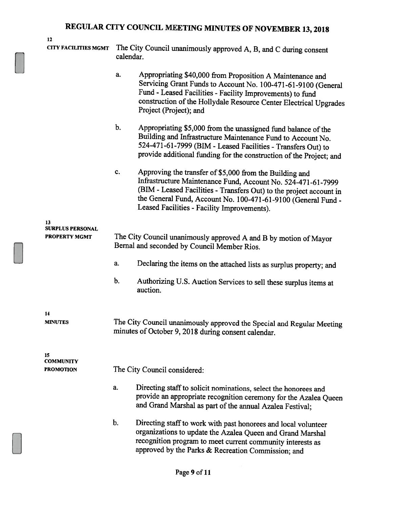| ۰ |  |
|---|--|

CITY FACILITIES MGMT The City Council unanimously approved A, B, and <sup>C</sup> during consent calendar. a. Appropriating \$40,000 from Proposition <sup>A</sup> Maintenance and Servicing Grant Funds to Account No. 100-471-61-9100 (General Fund - Leased Facilities -Facility Improvements) to fund construction of the Hollydale Resource Center Electrical Upgrades Project (Project); and b. Appropriating \$5,000 from the unassigned fund balance of the Building and Infrastructure Maintenance Fund to Account No. 524-471-61-7999 (BIM - Leased Facilities - Transfers Out) to provide additional funding for the construction of the Project; and c. Approving the transfer of \$5,000 from the Building and Infrastructure Maintenance Fund, Account No. 524-471-61-7999 (BIM -Leased Facilities -Transfers Out) to the project account in the General Fund, Account No. 100-471-61-9100 (General Fund - Leased Facilities - Facility Improvements). 13 SURPLUS PERSONAL PROPERTY MGMT The City Council unanimously approved A and B by motion of Mayor Bemal and seconded by Council Member Rios. a. Declaring the items on the attached lists as surplus property; and b. Authorizing U.S. Auction Services to sell these surplus items at auction. 14 MINUTES The City Council unanimously approved the Special and Regular Meeting minutes of October 9, <sup>2018</sup> during consent calendar. 15 **COMMUNITY** PROMOTION The City Council considered: a. Directing staff to solicit nominations, select the honorees and provide an appropriate recognition ceremony for the Azalea Queen and Grand Marshal as part of the annual Azalea Festival; b. Directing staff to work with past honorees and local volunteer organizations to update the Azalea Queen and Grand Marshal recognition program to meet current community interests as

approved by the Parks & Recreation Commission; and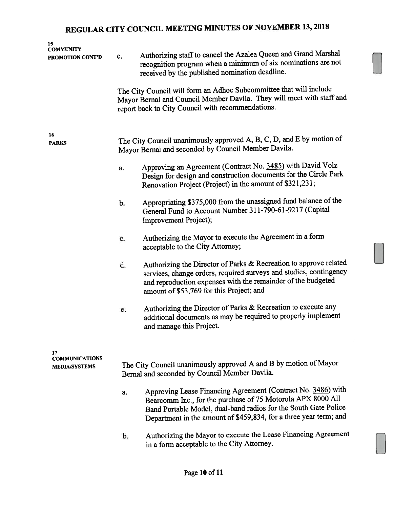| 15<br><b>COMMUNITY</b><br>PROMOTION CONT'D          | c.                                                                                                                | Authorizing staff to cancel the Azalea Queen and Grand Marshal<br>recognition program when a minimum of six nominations are not<br>received by the published nomination deadline.<br>The City Council will form an Adhoc Subcommittee that will include             |  |  |
|-----------------------------------------------------|-------------------------------------------------------------------------------------------------------------------|---------------------------------------------------------------------------------------------------------------------------------------------------------------------------------------------------------------------------------------------------------------------|--|--|
|                                                     |                                                                                                                   | Mayor Bernal and Council Member Davila. They will meet with staff and<br>report back to City Council with recommendations.                                                                                                                                          |  |  |
| 16<br><b>PARKS</b>                                  |                                                                                                                   | The City Council unanimously approved A, B, C, D, and E by motion of<br>Mayor Bernal and seconded by Council Member Davila.                                                                                                                                         |  |  |
|                                                     | a.                                                                                                                | Approving an Agreement (Contract No. 3485) with David Volz<br>Design for design and construction documents for the Circle Park<br>Renovation Project (Project) in the amount of \$321,231;                                                                          |  |  |
|                                                     | b.                                                                                                                | Appropriating \$375,000 from the unassigned fund balance of the<br>General Fund to Account Number 311-790-61-9217 (Capital<br>Improvement Project);                                                                                                                 |  |  |
|                                                     | c.                                                                                                                | Authorizing the Mayor to execute the Agreement in a form<br>acceptable to the City Attorney;                                                                                                                                                                        |  |  |
|                                                     | d.                                                                                                                | Authorizing the Director of Parks & Recreation to approve related<br>services, change orders, required surveys and studies, contingency<br>and reproduction expenses with the remainder of the budgeted<br>amount of \$53,769 for this Project; and                 |  |  |
|                                                     | e.                                                                                                                | Authorizing the Director of Parks & Recreation to execute any<br>additional documents as may be required to properly implement<br>and manage this Project.                                                                                                          |  |  |
| 17<br><b>COMMUNICATIONS</b><br><b>MEDIA/SYSTEMS</b> | The City Council unanimously approved A and B by motion of Mayor<br>Bernal and seconded by Council Member Davila. |                                                                                                                                                                                                                                                                     |  |  |
|                                                     | a.                                                                                                                | Approving Lease Financing Agreement (Contract No. 3486) with<br>Bearcomm Inc., for the purchase of 75 Motorola APX 8000 All<br>Band Portable Model, dual-band radios for the South Gate Police<br>Department in the amount of \$459,834, for a three year term; and |  |  |
|                                                     | b.                                                                                                                | Authorizing the Mayor to execute the Lease Financing Agreement<br>in a form acceptable to the City Attorney.                                                                                                                                                        |  |  |